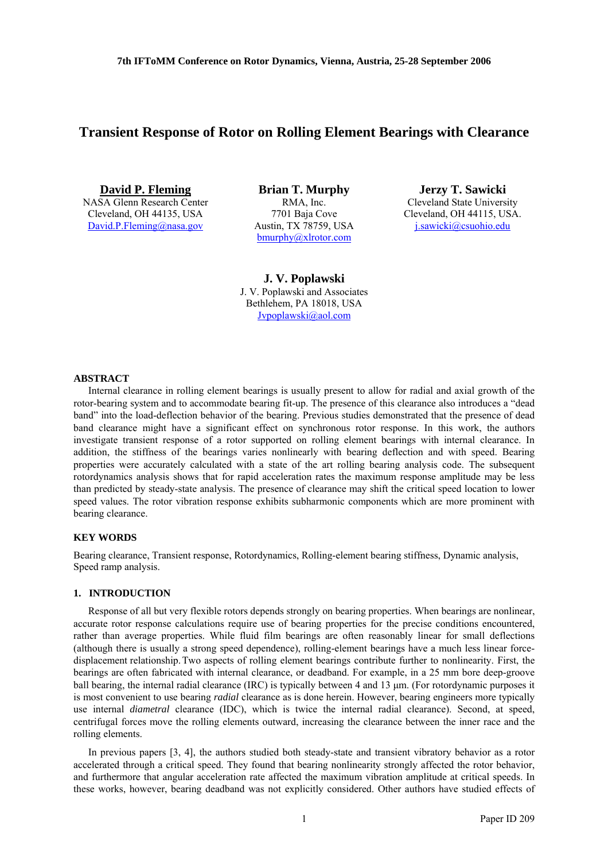# **Transient Response of Rotor on Rolling Element Bearings with Clearance**

**David P. Fleming** NASA Glenn Research Center Cleveland, OH 44135, USA David.P.Fleming@nasa.gov

**Brian T. Murphy** RMA, Inc. 7701 Baja Cove Austin, TX 78759, USA [bmurphy@xlrotor.com](mailto:bmurphy@xlrotor.com) 

**Jerzy T. Sawicki** Cleveland State University Cleveland, OH 44115, USA. [j.sawicki@csuohio.edu](mailto:j.sawicki@csuohio.edu)

**J. V. Poplawski** J. V. Poplawski and Associates Bethlehem, PA 18018, USA [Jvpoplawski@aol.com](mailto:Jvpoplawski@aol.com)

### **ABSTRACT**

Internal clearance in rolling element bearings is usually present to allow for radial and axial growth of the rotor-bearing system and to accommodate bearing fit-up. The presence of this clearance also introduces a "dead band" into the load-deflection behavior of the bearing. Previous studies demonstrated that the presence of dead band clearance might have a significant effect on synchronous rotor response. In this work, the authors investigate transient response of a rotor supported on rolling element bearings with internal clearance. In addition, the stiffness of the bearings varies nonlinearly with bearing deflection and with speed. Bearing properties were accurately calculated with a state of the art rolling bearing analysis code. The subsequent rotordynamics analysis shows that for rapid acceleration rates the maximum response amplitude may be less than predicted by steady-state analysis. The presence of clearance may shift the critical speed location to lower speed values. The rotor vibration response exhibits subharmonic components which are more prominent with bearing clearance.

# **KEY WORDS**

Bearing clearance, Transient response, Rotordynamics, Rolling-element bearing stiffness, Dynamic analysis, Speed ramp analysis.

# **1. INTRODUCTION**

Response of all but very flexible rotors depends strongly on bearing properties. When bearings are nonlinear, accurate rotor response calculations require use of bearing properties for the precise conditions encountered, rather than average properties. While fluid film bearings are often reasonably linear for small deflections (although there is usually a strong speed dependence), rolling-element bearings have a much less linear forcedisplacement relationship. Two aspects of rolling element bearings contribute further to nonlinearity. First, the bearings are often fabricated with internal clearance, or deadband. For example, in a 25 mm bore deep-groove ball bearing, the internal radial clearance (IRC) is typically between 4 and 13 μm. (For rotordynamic purposes it is most convenient to use bearing *radial* clearance as is done herein. However, bearing engineers more typically use internal *diametral* clearance (IDC), which is twice the internal radial clearance). Second, at speed, centrifugal forces move the rolling elements outward, increasing the clearance between the inner race and the rolling elements.

In previous papers [3, 4], the authors studied both steady-state and transient vibratory behavior as a rotor accelerated through a critical speed. They found that bearing nonlinearity strongly affected the rotor behavior, and furthermore that angular acceleration rate affected the maximum vibration amplitude at critical speeds. In these works, however, bearing deadband was not explicitly considered. Other authors have studied effects of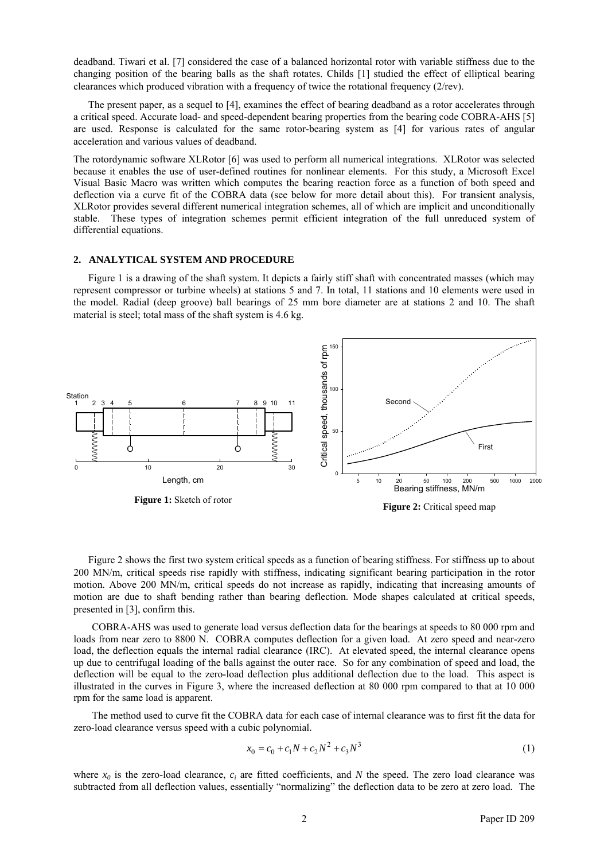deadband. Tiwari et al. [7] considered the case of a balanced horizontal rotor with variable stiffness due to the changing position of the bearing balls as the shaft rotates. Childs [1] studied the effect of elliptical bearing clearances which produced vibration with a frequency of twice the rotational frequency (2/rev).

The present paper, as a sequel to [4], examines the effect of bearing deadband as a rotor accelerates through a critical speed. Accurate load- and speed-dependent bearing properties from the bearing code COBRA-AHS [5] are used. Response is calculated for the same rotor-bearing system as [4] for various rates of angular acceleration and various values of deadband.

The rotordynamic software XLRotor [6] was used to perform all numerical integrations. XLRotor was selected because it enables the use of user-defined routines for nonlinear elements. For this study, a Microsoft Excel Visual Basic Macro was written which computes the bearing reaction force as a function of both speed and deflection via a curve fit of the COBRA data (see below for more detail about this). For transient analysis, XLRotor provides several different numerical integration schemes, all of which are implicit and unconditionally stable. These types of integration schemes permit efficient integration of the full unreduced system of differential equations.

### **2. ANALYTICAL SYSTEM AND PROCEDURE**

Figure 1 is a drawing of the shaft system. It depicts a fairly stiff shaft with concentrated masses (which may represent compressor or turbine wheels) at stations 5 and 7. In total, 11 stations and 10 elements were used in the model. Radial (deep groove) ball bearings of 25 mm bore diameter are at stations 2 and 10. The shaft material is steel; total mass of the shaft system is 4.6 kg.



Figure 2 shows the first two system critical speeds as a function of bearing stiffness. For stiffness up to about 200 MN/m, critical speeds rise rapidly with stiffness, indicating significant bearing participation in the rotor motion. Above 200 MN/m, critical speeds do not increase as rapidly, indicating that increasing amounts of motion are due to shaft bending rather than bearing deflection. Mode shapes calculated at critical speeds, presented in [3], confirm this.

COBRA-AHS was used to generate load versus deflection data for the bearings at speeds to 80 000 rpm and loads from near zero to 8800 N. COBRA computes deflection for a given load. At zero speed and near-zero load, the deflection equals the internal radial clearance (IRC). At elevated speed, the internal clearance opens up due to centrifugal loading of the balls against the outer race. So for any combination of speed and load, the deflection will be equal to the zero-load deflection plus additional deflection due to the load. This aspect is illustrated in the curves in Figure 3, where the increased deflection at 80 000 rpm compared to that at 10 000 rpm for the same load is apparent.

The method used to curve fit the COBRA data for each case of internal clearance was to first fit the data for zero-load clearance versus speed with a cubic polynomial.

$$
x_0 = c_0 + c_1 N + c_2 N^2 + c_3 N^3 \tag{1}
$$

where  $x_0$  is the zero-load clearance,  $c_i$  are fitted coefficients, and N the speed. The zero load clearance was subtracted from all deflection values, essentially "normalizing" the deflection data to be zero at zero load. The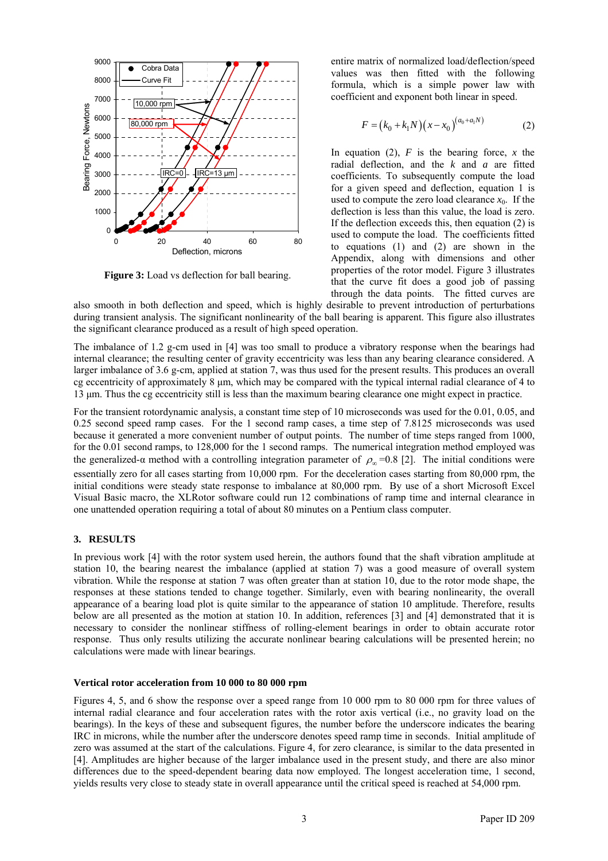

**Figure 3:** Load vs deflection for ball bearing.

entire matrix of normalized load/deflection/speed values was then fitted with the following formula, which is a simple power law with coefficient and exponent both linear in speed.

$$
F = (k_0 + k_1 N)(x - x_0)^{(a_0 + a_1 N)}
$$
 (2)

In equation (2),  $F$  is the bearing force,  $x$  the radial deflection, and the *k* and *a* are fitted coefficients. To subsequently compute the load for a given speed and deflection, equation 1 is used to compute the zero load clearance  $x_0$ . If the deflection is less than this value, the load is zero. If the deflection exceeds this, then equation (2) is used to compute the load. The coefficients fitted to equations (1) and (2) are shown in the Appendix, along with dimensions and other properties of the rotor model. Figure 3 illustrates that the curve fit does a good job of passing through the data points. The fitted curves are

also smooth in both deflection and speed, which is highly desirable to prevent introduction of perturbations during transient analysis. The significant nonlinearity of the ball bearing is apparent. This figure also illustrates the significant clearance produced as a result of high speed operation.

The imbalance of 1.2 g-cm used in [4] was too small to produce a vibratory response when the bearings had internal clearance; the resulting center of gravity eccentricity was less than any bearing clearance considered. A larger imbalance of 3.6 g-cm, applied at station 7, was thus used for the present results. This produces an overall cg eccentricity of approximately 8 μm, which may be compared with the typical internal radial clearance of 4 to 13 μm. Thus the cg eccentricity still is less than the maximum bearing clearance one might expect in practice.

For the transient rotordynamic analysis, a constant time step of 10 microseconds was used for the 0.01, 0.05, and 0.25 second speed ramp cases. For the 1 second ramp cases, a time step of 7.8125 microseconds was used because it generated a more convenient number of output points. The number of time steps ranged from 1000, for the 0.01 second ramps, to 128,000 for the 1 second ramps. The numerical integration method employed was the generalized-α method with a controlling integration parameter of  $\rho_{\infty}$ =0.8 [2]. The initial conditions were essentially zero for all cases starting from 10,000 rpm. For the deceleration cases starting from 80,000 rpm, the initial conditions were steady state response to imbalance at 80,000 rpm. By use of a short Microsoft Excel Visual Basic macro, the XLRotor software could run 12 combinations of ramp time and internal clearance in one unattended operation requiring a total of about 80 minutes on a Pentium class computer.

# **3. RESULTS**

In previous work [4] with the rotor system used herein, the authors found that the shaft vibration amplitude at station 10, the bearing nearest the imbalance (applied at station 7) was a good measure of overall system vibration. While the response at station 7 was often greater than at station 10, due to the rotor mode shape, the responses at these stations tended to change together. Similarly, even with bearing nonlinearity, the overall appearance of a bearing load plot is quite similar to the appearance of station 10 amplitude. Therefore, results below are all presented as the motion at station 10. In addition, references [3] and [4] demonstrated that it is necessary to consider the nonlinear stiffness of rolling-element bearings in order to obtain accurate rotor response. Thus only results utilizing the accurate nonlinear bearing calculations will be presented herein; no calculations were made with linear bearings.

#### **Vertical rotor acceleration from 10 000 to 80 000 rpm**

Figures 4, 5, and 6 show the response over a speed range from 10 000 rpm to 80 000 rpm for three values of internal radial clearance and four acceleration rates with the rotor axis vertical (i.e., no gravity load on the bearings). In the keys of these and subsequent figures, the number before the underscore indicates the bearing IRC in microns, while the number after the underscore denotes speed ramp time in seconds. Initial amplitude of zero was assumed at the start of the calculations. Figure 4, for zero clearance, is similar to the data presented in [4]. Amplitudes are higher because of the larger imbalance used in the present study, and there are also minor differences due to the speed-dependent bearing data now employed. The longest acceleration time, 1 second, yields results very close to steady state in overall appearance until the critical speed is reached at 54,000 rpm.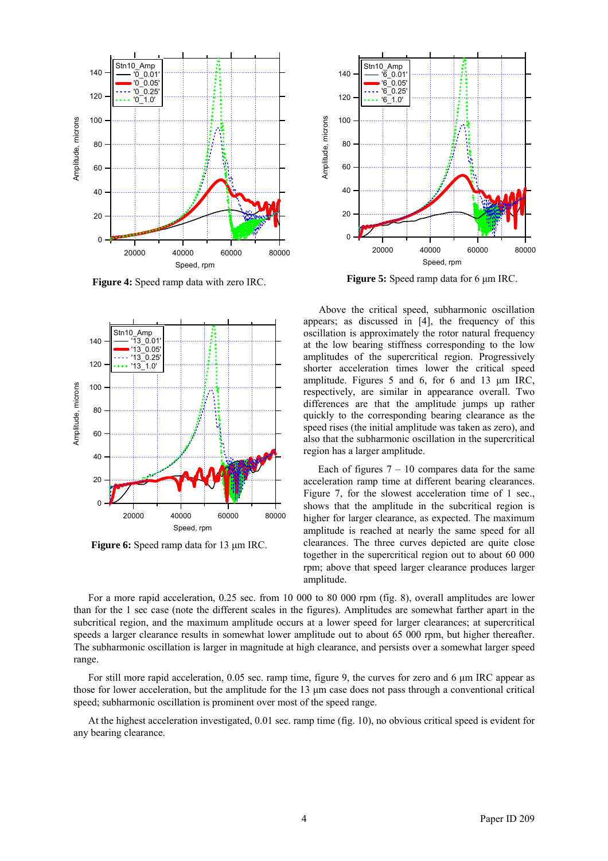

**Figure 4:** Speed ramp data with zero IRC.



**Figure 6:** Speed ramp data for 13 μm IRC.



**Figure 5:** Speed ramp data for 6 μm IRC.

 Above the critical speed, subharmonic oscillation appears; as discussed in [4], the frequency of this oscillation is approximately the rotor natural frequency at the low bearing stiffness corresponding to the low amplitudes of the supercritical region. Progressively shorter acceleration times lower the critical speed amplitude. Figures 5 and 6, for 6 and 13 μm IRC, respectively, are similar in appearance overall. Two differences are that the amplitude jumps up rather quickly to the corresponding bearing clearance as the speed rises (the initial amplitude was taken as zero), and also that the subharmonic oscillation in the supercritical region has a larger amplitude.

Each of figures  $7 - 10$  compares data for the same acceleration ramp time at different bearing clearances. Figure 7, for the slowest acceleration time of 1 sec., shows that the amplitude in the subcritical region is higher for larger clearance, as expected. The maximum amplitude is reached at nearly the same speed for all clearances. The three curves depicted are quite close together in the supercritical region out to about 60 000 rpm; above that speed larger clearance produces larger amplitude.

For a more rapid acceleration, 0.25 sec. from 10 000 to 80 000 rpm (fig. 8), overall amplitudes are lower than for the 1 sec case (note the different scales in the figures). Amplitudes are somewhat farther apart in the subcritical region, and the maximum amplitude occurs at a lower speed for larger clearances; at supercritical speeds a larger clearance results in somewhat lower amplitude out to about 65 000 rpm, but higher thereafter. The subharmonic oscillation is larger in magnitude at high clearance, and persists over a somewhat larger speed range.

For still more rapid acceleration, 0.05 sec. ramp time, figure 9, the curves for zero and 6 μm IRC appear as those for lower acceleration, but the amplitude for the 13 μm case does not pass through a conventional critical speed; subharmonic oscillation is prominent over most of the speed range.

At the highest acceleration investigated, 0.01 sec. ramp time (fig. 10), no obvious critical speed is evident for any bearing clearance.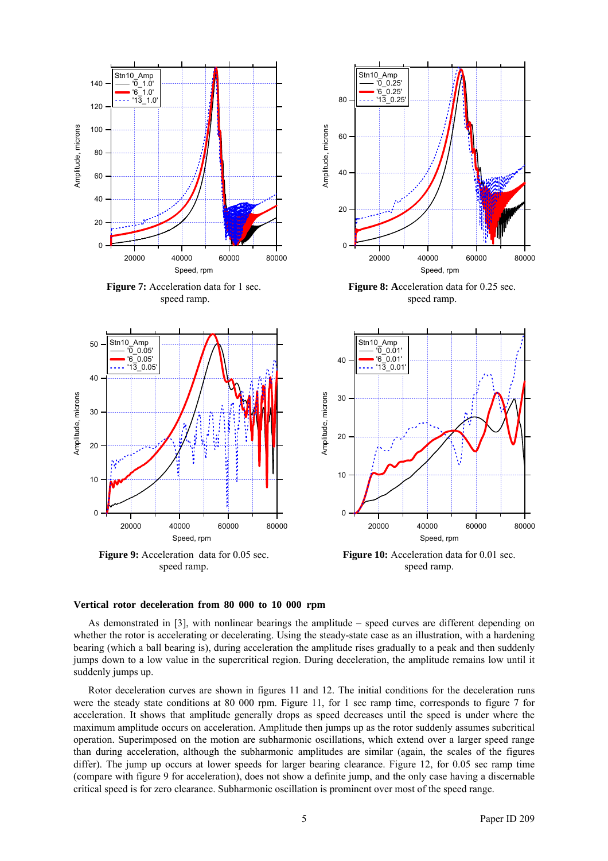

### **Vertical rotor deceleration from 80 000 to 10 000 rpm**

As demonstrated in [3], with nonlinear bearings the amplitude – speed curves are different depending on whether the rotor is accelerating or decelerating. Using the steady-state case as an illustration, with a hardening bearing (which a ball bearing is), during acceleration the amplitude rises gradually to a peak and then suddenly jumps down to a low value in the supercritical region. During deceleration, the amplitude remains low until it suddenly jumps up.

Rotor deceleration curves are shown in figures 11 and 12. The initial conditions for the deceleration runs were the steady state conditions at 80 000 rpm. Figure 11, for 1 sec ramp time, corresponds to figure 7 for acceleration. It shows that amplitude generally drops as speed decreases until the speed is under where the maximum amplitude occurs on acceleration. Amplitude then jumps up as the rotor suddenly assumes subcritical operation. Superimposed on the motion are subharmonic oscillations, which extend over a larger speed range than during acceleration, although the subharmonic amplitudes are similar (again, the scales of the figures differ). The jump up occurs at lower speeds for larger bearing clearance. Figure 12, for 0.05 sec ramp time (compare with figure 9 for acceleration), does not show a definite jump, and the only case having a discernable critical speed is for zero clearance. Subharmonic oscillation is prominent over most of the speed range.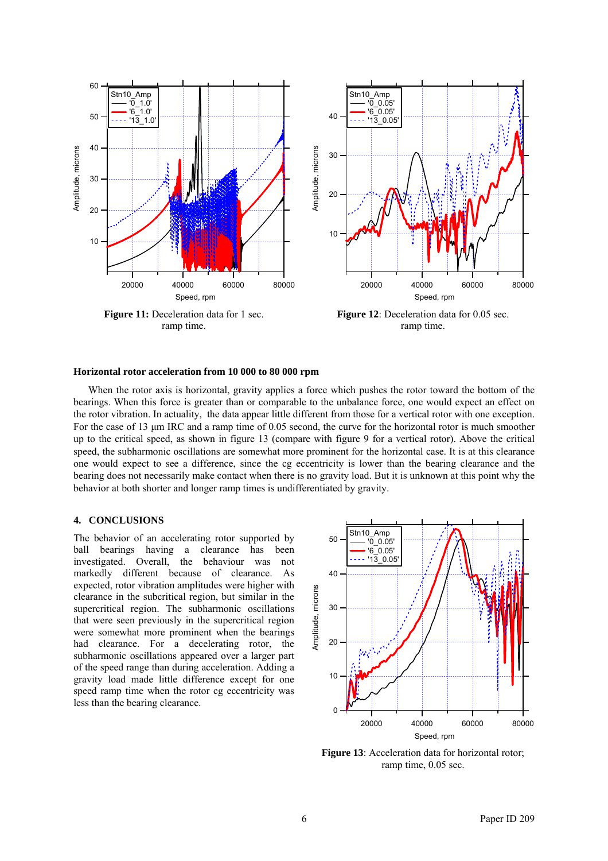

# ramp time.

# **Horizontal rotor acceleration from 10 000 to 80 000 rpm**

When the rotor axis is horizontal, gravity applies a force which pushes the rotor toward the bottom of the bearings. When this force is greater than or comparable to the unbalance force, one would expect an effect on the rotor vibration. In actuality, the data appear little different from those for a vertical rotor with one exception. For the case of 13 μm IRC and a ramp time of 0.05 second, the curve for the horizontal rotor is much smoother up to the critical speed, as shown in figure 13 (compare with figure 9 for a vertical rotor). Above the critical speed, the subharmonic oscillations are somewhat more prominent for the horizontal case. It is at this clearance one would expect to see a difference, since the cg eccentricity is lower than the bearing clearance and the bearing does not necessarily make contact when there is no gravity load. But it is unknown at this point why the behavior at both shorter and longer ramp times is undifferentiated by gravity.

# **4. CONCLUSIONS**

The behavior of an accelerating rotor supported by ball bearings having a clearance has been investigated. Overall, the behaviour was not markedly different because of clearance. As expected, rotor vibration amplitudes were higher with clearance in the subcritical region, but similar in the supercritical region. The subharmonic oscillations that were seen previously in the supercritical region were somewhat more prominent when the bearings had clearance. For a decelerating rotor, the subharmonic oscillations appeared over a larger part of the speed range than during acceleration. Adding a gravity load made little difference except for one speed ramp time when the rotor cg eccentricity was less than the bearing clearance.



Figure 13: Acceleration data for horizontal rotor; ramp time, 0.05 sec.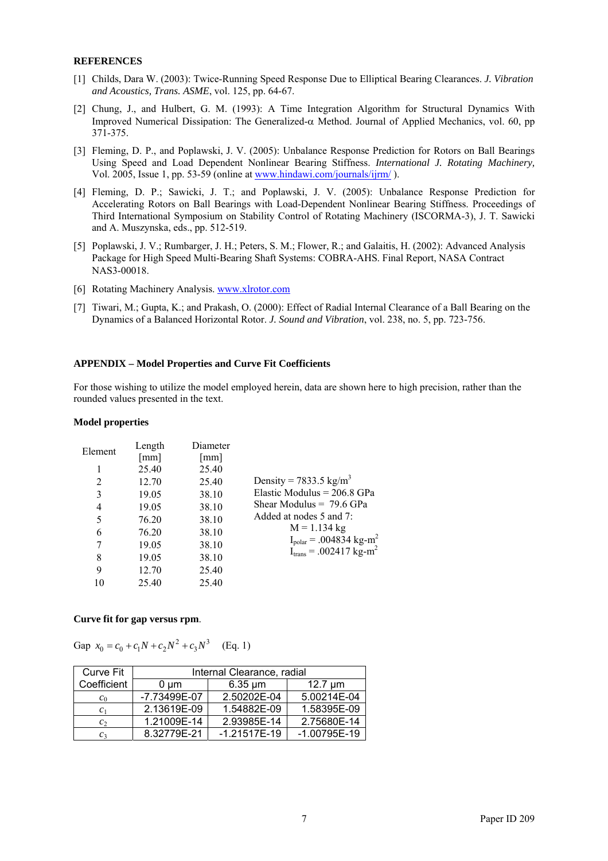# **REFERENCES**

- [1] Childs, Dara W. (2003): Twice-Running Speed Response Due to Elliptical Bearing Clearances. *J. Vibration and Acoustics, Trans. ASME*, vol. 125, pp. 64-67.
- [2] Chung, J., and Hulbert, G. M. (1993): A Time Integration Algorithm for Structural Dynamics With Improved Numerical Dissipation: The Generalized-α Method. Journal of Applied Mechanics, vol. 60, pp 371-375.
- [3] Fleming, D. P., and Poplawski, J. V. (2005): Unbalance Response Prediction for Rotors on Ball Bearings Using Speed and Load Dependent Nonlinear Bearing Stiffness. *International J. Rotating Machinery,* Vol. 2005, Issue 1, pp. 53-59 (online at [www.hindawi.com/journals/ijrm/](http://www.hindawi.com/journals/ijrm/) ).
- [4] Fleming, D. P.; Sawicki, J. T.; and Poplawski, J. V. (2005): Unbalance Response Prediction for Accelerating Rotors on Ball Bearings with Load-Dependent Nonlinear Bearing Stiffness. Proceedings of Third International Symposium on Stability Control of Rotating Machinery (ISCORMA-3), J. T. Sawicki and A. Muszynska, eds., pp. 512-519.
- [5] Poplawski, J. V.; Rumbarger, J. H.; Peters, S. M.; Flower, R.; and Galaitis, H. (2002): Advanced Analysis Package for High Speed Multi-Bearing Shaft Systems: COBRA-AHS. Final Report, NASA Contract NAS3-00018.
- [6] Rotating Machinery Analysis. [www.xlrotor.com](http://www.xlrotor.com/)
- [7] Tiwari, M.; Gupta, K.; and Prakash, O. (2000): Effect of Radial Internal Clearance of a Ball Bearing on the Dynamics of a Balanced Horizontal Rotor. *J. Sound and Vibration*, vol. 238, no. 5, pp. 723-756.

### **APPENDIX – Model Properties and Curve Fit Coefficients**

For those wishing to utilize the model employed herein, data are shown here to high precision, rather than the rounded values presented in the text.

### **Model properties**

| Element | Length | Diameter             |                                         |
|---------|--------|----------------------|-----------------------------------------|
|         | [mm]   | $\lceil$ mm $\rceil$ |                                         |
|         | 25.40  | 25.40                |                                         |
| 2       | 12.70  | 25.40                | Density = $7833.5$ kg/m <sup>3</sup>    |
| 3       | 19.05  | 38.10                | Elastic Modulus = $206.8$ GPa           |
| 4       | 19.05  | 38.10                | Shear Modulus = $79.6$ GPa              |
| 5       | 76.20  | 38.10                | Added at nodes 5 and 7:                 |
| 6       | 76.20  | 38.10                | $M = 1.134$ kg                          |
| 7       | 19.05  | 38.10                | $I_{polar} = .004834$ kg-m <sup>2</sup> |
| 8       | 19.05  | 38.10                | $I_{trans} = .002417$ kg-m <sup>2</sup> |
| 9       | 12.70  | 25.40                |                                         |
| 10      | 25.40  | 25.40                |                                         |

### **Curve fit for gap versus rpm**.

|  |  |  |  |  |  | Gap $x_0 = c_0 + c_1 N + c_2 N^2 + c_3 N^3$ (Eq. 1) |
|--|--|--|--|--|--|-----------------------------------------------------|
|--|--|--|--|--|--|-----------------------------------------------------|

| Curve Fit       | Internal Clearance, radial |                           |                |  |  |
|-----------------|----------------------------|---------------------------|----------------|--|--|
| Coefficient     | $0 \mu m$                  | $6.35 \,\mathrm{\upmu m}$ | $12.7 \mu m$   |  |  |
| c <sub>0</sub>  | -7.73499E-07               | 2.50202E-04               | 5.00214E-04    |  |  |
| $\mathcal{C}_1$ | 2.13619E-09                | 1.54882E-09               | 1.58395E-09    |  |  |
| $\mathcal{C}$   | 1.21009E-14                | 2.93985E-14               | 2.75680E-14    |  |  |
| Cэ              | 8.32779E-21                | $-1.21517E-19$            | $-1.00795E-19$ |  |  |